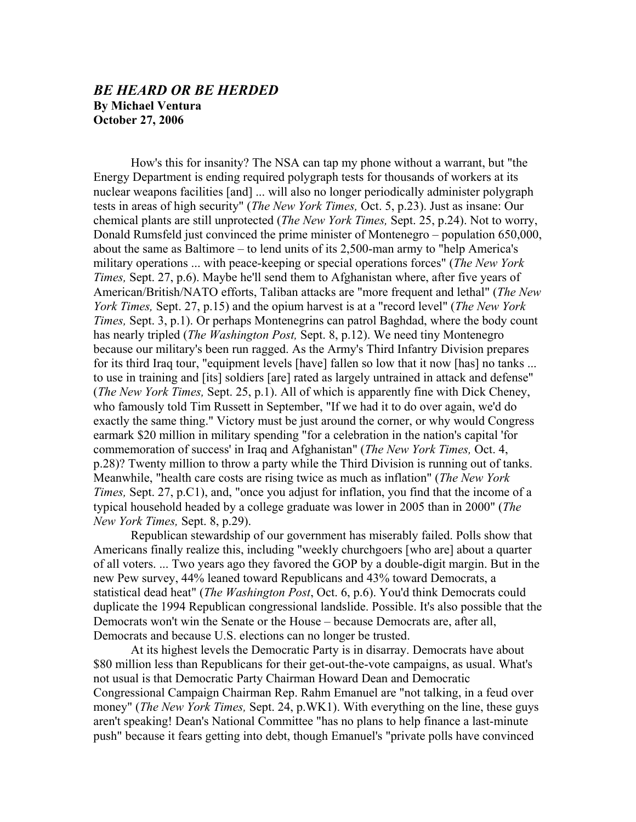## *BE HEARD OR BE HERDED*  **By Michael Ventura October 27, 2006**

How's this for insanity? The NSA can tap my phone without a warrant, but "the Energy Department is ending required polygraph tests for thousands of workers at its nuclear weapons facilities [and] ... will also no longer periodically administer polygraph tests in areas of high security" (*The New York Times,* Oct. 5, p.23). Just as insane: Our chemical plants are still unprotected (*The New York Times,* Sept. 25, p.24). Not to worry, Donald Rumsfeld just convinced the prime minister of Montenegro – population 650,000, about the same as Baltimore – to lend units of its 2,500-man army to "help America's military operations ... with peace-keeping or special operations forces" (*The New York Times,* Sept. 27, p.6). Maybe he'll send them to Afghanistan where, after five years of American/British/NATO efforts, Taliban attacks are "more frequent and lethal" (*The New York Times,* Sept. 27, p.15) and the opium harvest is at a "record level" (*The New York Times, Sept. 3, p.1).* Or perhaps Montenegrins can patrol Baghdad, where the body count has nearly tripled (*The Washington Post,* Sept. 8, p.12). We need tiny Montenegro because our military's been run ragged. As the Army's Third Infantry Division prepares for its third Iraq tour, "equipment levels [have] fallen so low that it now [has] no tanks ... to use in training and [its] soldiers [are] rated as largely untrained in attack and defense" (*The New York Times,* Sept. 25, p.1). All of which is apparently fine with Dick Cheney, who famously told Tim Russett in September, "If we had it to do over again, we'd do exactly the same thing." Victory must be just around the corner, or why would Congress earmark \$20 million in military spending "for a celebration in the nation's capital 'for commemoration of success' in Iraq and Afghanistan" (*The New York Times,* Oct. 4, p.28)? Twenty million to throw a party while the Third Division is running out of tanks. Meanwhile, "health care costs are rising twice as much as inflation" (*The New York Times,* Sept. 27, p.C1), and, "once you adjust for inflation, you find that the income of a typical household headed by a college graduate was lower in 2005 than in 2000" (*The New York Times,* Sept. 8, p.29).

Republican stewardship of our government has miserably failed. Polls show that Americans finally realize this, including "weekly churchgoers [who are] about a quarter of all voters. ... Two years ago they favored the GOP by a double-digit margin. But in the new Pew survey, 44% leaned toward Republicans and 43% toward Democrats, a statistical dead heat" (*The Washington Post*, Oct. 6, p.6). You'd think Democrats could duplicate the 1994 Republican congressional landslide. Possible. It's also possible that the Democrats won't win the Senate or the House – because Democrats are, after all, Democrats and because U.S. elections can no longer be trusted.

At its highest levels the Democratic Party is in disarray. Democrats have about \$80 million less than Republicans for their get-out-the-vote campaigns, as usual. What's not usual is that Democratic Party Chairman Howard Dean and Democratic Congressional Campaign Chairman Rep. Rahm Emanuel are "not talking, in a feud over money" (*The New York Times,* Sept. 24, p.WK1). With everything on the line, these guys aren't speaking! Dean's National Committee "has no plans to help finance a last-minute push" because it fears getting into debt, though Emanuel's "private polls have convinced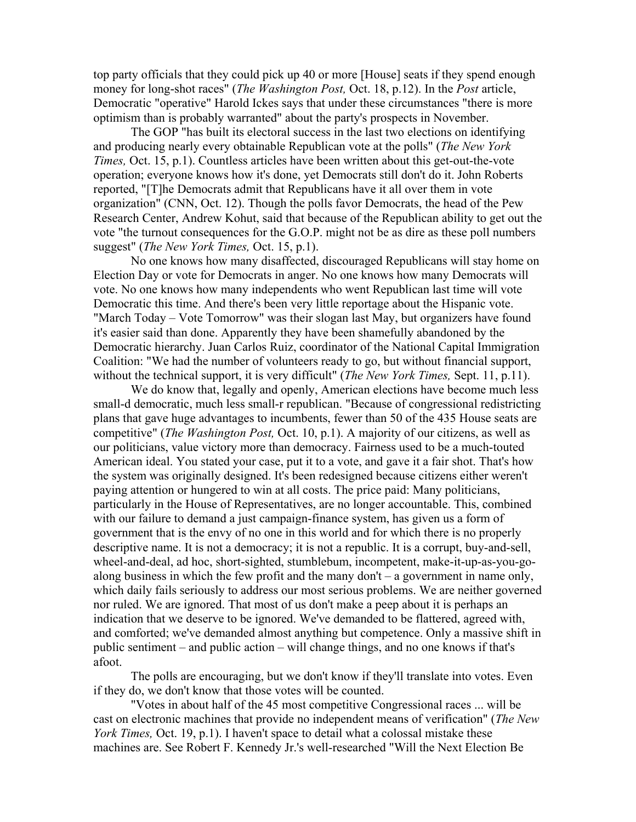top party officials that they could pick up 40 or more [House] seats if they spend enough money for long-shot races" (*The Washington Post,* Oct. 18, p.12). In the *Post* article, Democratic "operative" Harold Ickes says that under these circumstances "there is more optimism than is probably warranted" about the party's prospects in November.

The GOP "has built its electoral success in the last two elections on identifying and producing nearly every obtainable Republican vote at the polls" (*The New York Times, Oct.* 15, p.1). Countless articles have been written about this get-out-the-vote operation; everyone knows how it's done, yet Democrats still don't do it. John Roberts reported, "[T]he Democrats admit that Republicans have it all over them in vote organization" (CNN, Oct. 12). Though the polls favor Democrats, the head of the Pew Research Center, Andrew Kohut, said that because of the Republican ability to get out the vote "the turnout consequences for the G.O.P. might not be as dire as these poll numbers suggest" (*The New York Times,* Oct. 15, p.1).

No one knows how many disaffected, discouraged Republicans will stay home on Election Day or vote for Democrats in anger. No one knows how many Democrats will vote. No one knows how many independents who went Republican last time will vote Democratic this time. And there's been very little reportage about the Hispanic vote. "March Today – Vote Tomorrow" was their slogan last May, but organizers have found it's easier said than done. Apparently they have been shamefully abandoned by the Democratic hierarchy. Juan Carlos Ruiz, coordinator of the National Capital Immigration Coalition: "We had the number of volunteers ready to go, but without financial support, without the technical support, it is very difficult" (*The New York Times,* Sept. 11, p.11).

We do know that, legally and openly, American elections have become much less small-d democratic, much less small-r republican. "Because of congressional redistricting plans that gave huge advantages to incumbents, fewer than 50 of the 435 House seats are competitive" (*The Washington Post,* Oct. 10, p.1). A majority of our citizens, as well as our politicians, value victory more than democracy. Fairness used to be a much-touted American ideal. You stated your case, put it to a vote, and gave it a fair shot. That's how the system was originally designed. It's been redesigned because citizens either weren't paying attention or hungered to win at all costs. The price paid: Many politicians, particularly in the House of Representatives, are no longer accountable. This, combined with our failure to demand a just campaign-finance system, has given us a form of government that is the envy of no one in this world and for which there is no properly descriptive name. It is not a democracy; it is not a republic. It is a corrupt, buy-and-sell, wheel-and-deal, ad hoc, short-sighted, stumblebum, incompetent, make-it-up-as-you-goalong business in which the few profit and the many don't – a government in name only, which daily fails seriously to address our most serious problems. We are neither governed nor ruled. We are ignored. That most of us don't make a peep about it is perhaps an indication that we deserve to be ignored. We've demanded to be flattered, agreed with, and comforted; we've demanded almost anything but competence. Only a massive shift in public sentiment – and public action – will change things, and no one knows if that's afoot.

The polls are encouraging, but we don't know if they'll translate into votes. Even if they do, we don't know that those votes will be counted.

"Votes in about half of the 45 most competitive Congressional races ... will be cast on electronic machines that provide no independent means of verification" (*The New York Times, Oct.* 19, p.1). I haven't space to detail what a colossal mistake these machines are. See Robert F. Kennedy Jr.'s well-researched "Will the Next Election Be